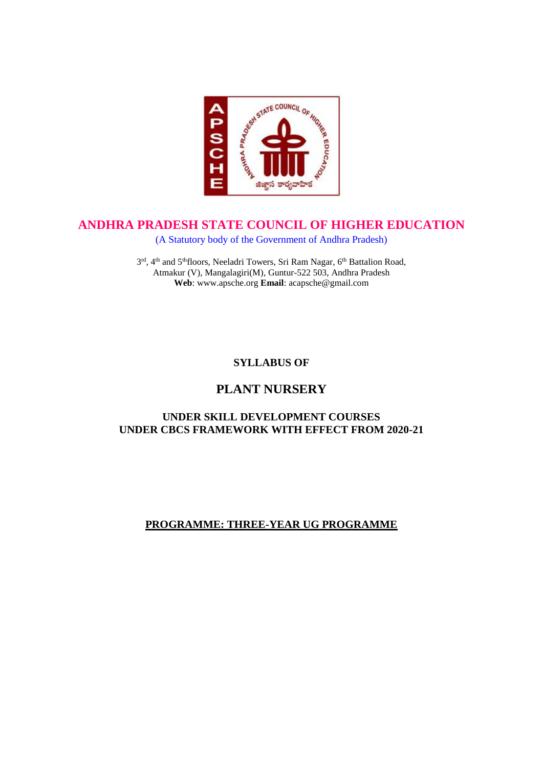

# **ANDHRA PRADESH STATE COUNCIL OF HIGHER EDUCATION**

(A Statutory body of the Government of Andhra Pradesh)

3<sup>rd</sup>, 4<sup>th</sup> and 5<sup>th</sup>floors, Neeladri Towers, Sri Ram Nagar, 6<sup>th</sup> Battalion Road, Atmakur (V), Mangalagiri(M), Guntur-522 503, Andhra Pradesh **Web**: www.apsche.org **Email**: acapsche@gmail.com

**SYLLABUS OF**

# **PLANT NURSERY**

# **UNDER SKILL DEVELOPMENT COURSES UNDER CBCS FRAMEWORK WITH EFFECT FROM 2020-21**

# **PROGRAMME: THREE-YEAR UG PROGRAMME**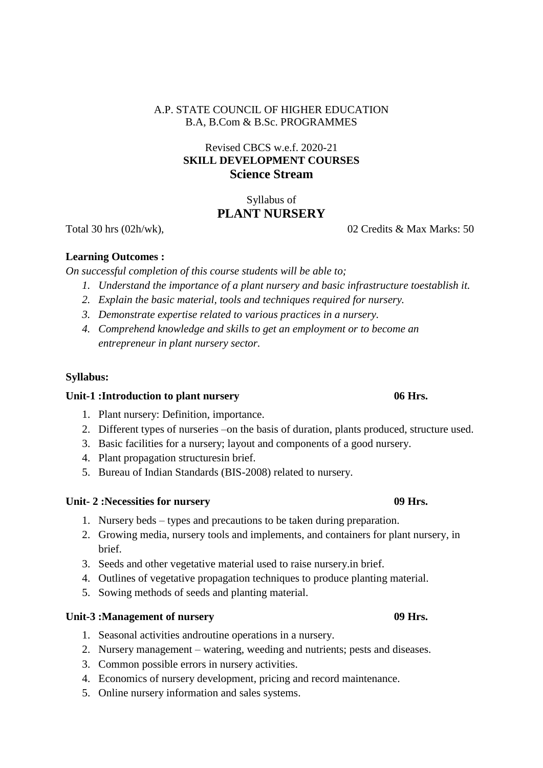#### A.P. STATE COUNCIL OF HIGHER EDUCATION B.A, B.Com & B.Sc. PROGRAMMES

# Revised CBCS w.e.f. 2020-21 **SKILL DEVELOPMENT COURSES Science Stream**

# Syllabus of **PLANT NURSERY**

Total 30 hrs (02h/wk), 02 Credits & Max Marks: 50

### **Learning Outcomes :**

*On successful completion of this course students will be able to;*

- *1. Understand the importance of a plant nursery and basic infrastructure toestablish it.*
- *2. Explain the basic material, tools and techniques required for nursery.*
- *3. Demonstrate expertise related to various practices in a nursery.*
- *4. Comprehend knowledge and skills to get an employment or to become an entrepreneur in plant nursery sector.*

## **Syllabus:**

### **Unit-1 :Introduction to plant nursery 06 Hrs.**

- 1. Plant nursery: Definition, importance.
- 2. Different types of nurseries –on the basis of duration, plants produced, structure used.
- 3. Basic facilities for a nursery; layout and components of a good nursery.
- 4. Plant propagation structuresin brief.
- 5. Bureau of Indian Standards (BIS-2008) related to nursery.

### **Unit- 2 :Necessities for nursery 09 Hrs.**

- 1. Nursery beds types and precautions to be taken during preparation.
- 2. Growing media, nursery tools and implements, and containers for plant nursery, in brief.
- 3. Seeds and other vegetative material used to raise nursery.in brief.
- 4. Outlines of vegetative propagation techniques to produce planting material.
- 5. Sowing methods of seeds and planting material.

### **Unit-3 :Management of nursery 09 Hrs.**

- 1. Seasonal activities androutine operations in a nursery.
- 2. Nursery management watering, weeding and nutrients; pests and diseases.
- 3. Common possible errors in nursery activities.
- 4. Economics of nursery development, pricing and record maintenance.
- 5. Online nursery information and sales systems.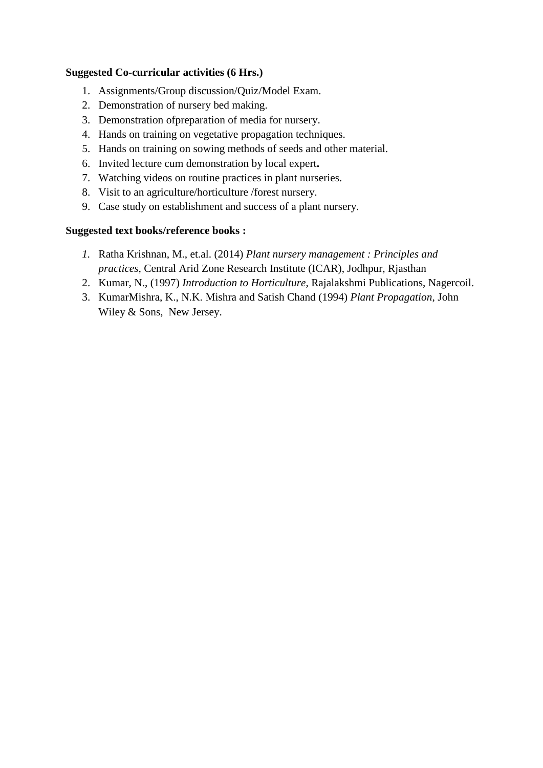#### **Suggested Co-curricular activities (6 Hrs.)**

- 1. Assignments/Group discussion/Quiz/Model Exam.
- 2. Demonstration of nursery bed making.
- 3. Demonstration of preparation of media for nursery.
- 4. Hands on training on vegetative propagation techniques.
- 5. Hands on training on sowing methods of seeds and other material.
- 6. Invited lecture cum demonstration by local expert**.**
- 7. Watching videos on routine practices in plant nurseries.
- 8. Visit to an agriculture/horticulture /forest nursery.
- 9. Case study on establishment and success of a plant nursery.

#### **Suggested text books/reference books :**

- *1.* Ratha Krishnan, M., et.al. (2014) *Plant nursery management : Principles and practices,* Central Arid Zone Research Institute (ICAR), Jodhpur, Rjasthan
- 2. Kumar, N., (1997) *Introduction to Horticulture*, Rajalakshmi Publications, Nagercoil.
- 3. KumarMishra, K., N.K. Mishra and Satish Chand (1994) *Plant Propagation*, John Wiley & Sons, New Jersey.